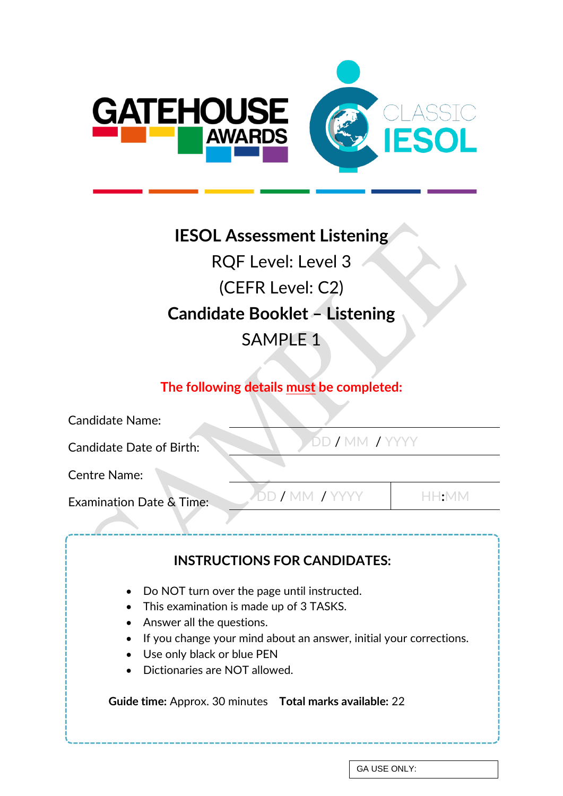

# **IESOL Assessment Listening** RQF Level: Level 3 (CEFR Level: C2) **Candidate Booklet – Listening** SAMPLE 1

## **The following details must be completed:**

| <b>Candidate Name:</b>                                                                                                                                                                                                                                   |                                     |
|----------------------------------------------------------------------------------------------------------------------------------------------------------------------------------------------------------------------------------------------------------|-------------------------------------|
| DD / MM / YYYY<br><b>Candidate Date of Birth:</b>                                                                                                                                                                                                        |                                     |
| <b>Centre Name:</b>                                                                                                                                                                                                                                      |                                     |
| DD / MM / YYYY<br><b>Examination Date &amp; Time:</b>                                                                                                                                                                                                    | $\vdash\vdash:\mathsf{M}\mathsf{M}$ |
| <b>INSTRUCTIONS FOR CANDIDATES:</b>                                                                                                                                                                                                                      |                                     |
| Do NOT turn over the page until instructed.<br>This examination is made up of 3 TASKS.<br>Answer all the questions.<br>If you change your mind about an answer, initial your corrections.<br>Use only black or blue PEN<br>Dictionaries are NOT allowed. |                                     |
| Guide time: Approx. 30 minutes  Total marks available: 22                                                                                                                                                                                                |                                     |

GA USE ONLY: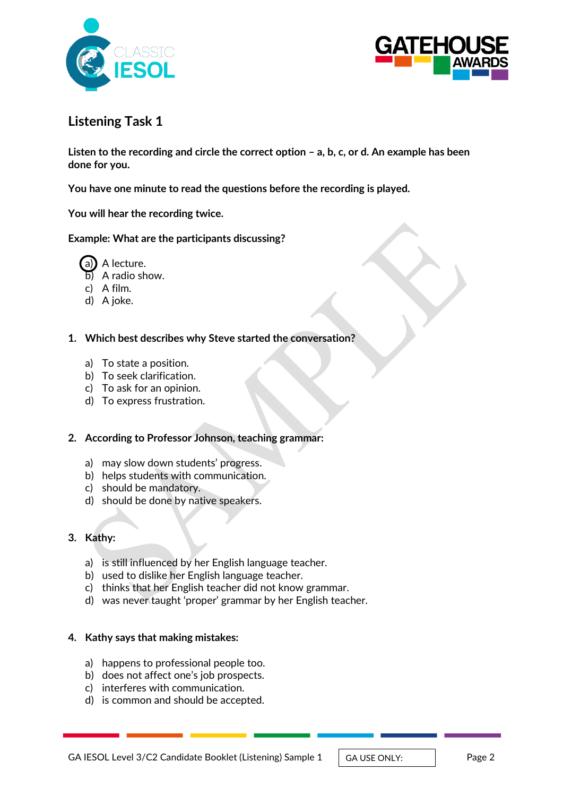



## **Listening Task 1**

**Listen to the recording and circle the correct option – a, b, c, or d. An example has been done for you.** 

**You have one minute to read the questions before the recording is played.** 

**You will hear the recording twice.**

#### **Example: What are the participants discussing?**



- b) A radio show.
- c) A film.
- d) A joke.
- **1. Which best describes why Steve started the conversation?**
	- a) To state a position.
	- b) To seek clarification.
	- c) To ask for an opinion.
	- d) To express frustration.

#### **2. According to Professor Johnson, teaching grammar:**

- a) may slow down students' progress.
- b) helps students with communication.
- c) should be mandatory.
- d) should be done by native speakers.

#### **3. Kathy:**

- a) is still influenced by her English language teacher.
- b) used to dislike her English language teacher.
- c) thinks that her English teacher did not know grammar.
- d) was never taught 'proper' grammar by her English teacher.

#### **4. Kathy says that making mistakes:**

- a) happens to professional people too.
- b) does not affect one's job prospects.
- c) interferes with communication.
- d) is common and should be accepted.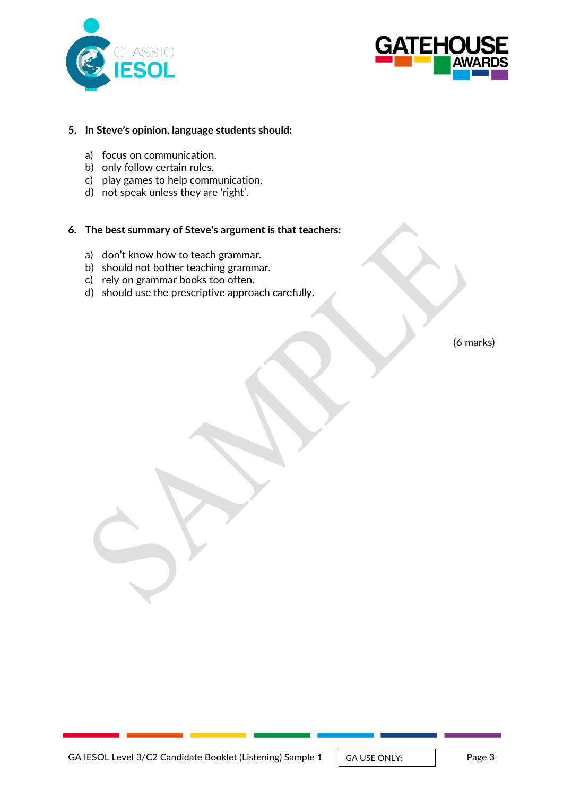



#### **5. In Steve's opinion, language students should:**

- a) focus on communication.
- b) only follow certain rules.
- c) play games to help communication.
- d) not speak unless they are 'right'.

#### **6. The best summary of Steve's argument is that teachers:**

- a) don't know how to teach grammar.
- b) should not bother teaching grammar.
- c) rely on grammar books too often.
- d) should use the prescriptive approach carefully.

(6 marks)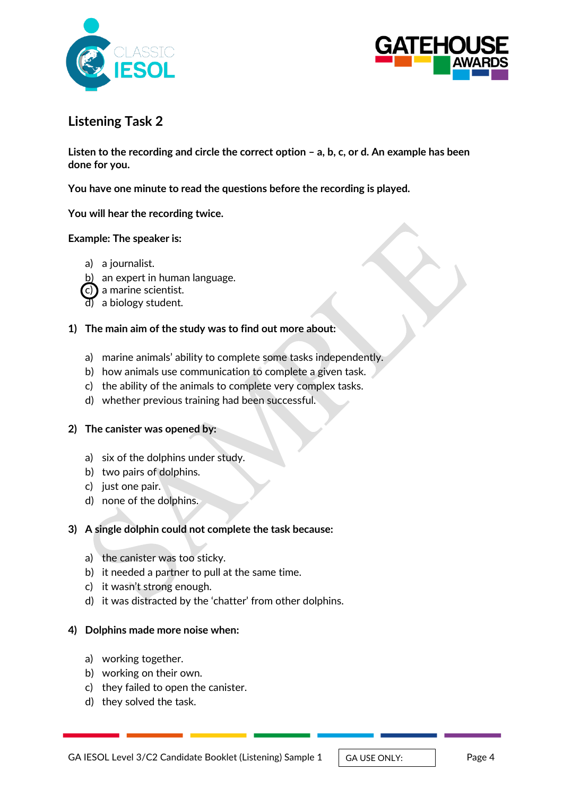



## **Listening Task 2**

**Listen to the recording and circle the correct option – a, b, c, or d. An example has been done for you.** 

**You have one minute to read the questions before the recording is played.** 

**You will hear the recording twice.**

#### **Example: The speaker is:**

- a) a journalist.
- b) an expert in human language.
- a marine scientist.
- d) a biology student.

#### **1) The main aim of the study was to find out more about:**

- a) marine animals' ability to complete some tasks independently.
- b) how animals use communication to complete a given task.
- c) the ability of the animals to complete very complex tasks.
- d) whether previous training had been successful.

#### **2) The canister was opened by:**

- a) six of the dolphins under study.
- b) two pairs of dolphins.
- c) just one pair.
- d) none of the dolphins.

#### **3) A single dolphin could not complete the task because:**

- a) the canister was too sticky.
- b) it needed a partner to pull at the same time.
- c) it wasn't strong enough.
- d) it was distracted by the 'chatter' from other dolphins.

#### **4) Dolphins made more noise when:**

- a) working together.
- b) working on their own.
- c) they failed to open the canister.
- d) they solved the task.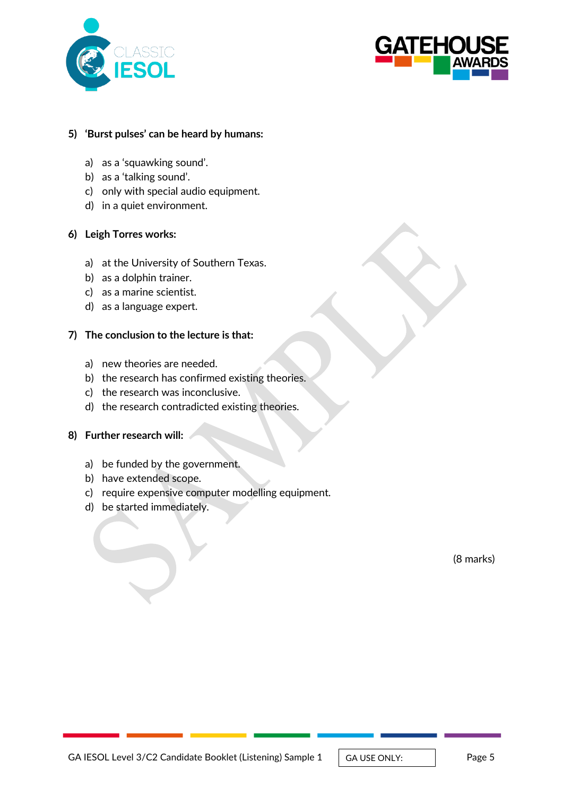



#### **5) 'Burst pulses' can be heard by humans:**

- a) as a 'squawking sound'.
- b) as a 'talking sound'.
- c) only with special audio equipment.
- d) in a quiet environment.

#### **6) Leigh Torres works:**

- a) at the University of Southern Texas.
- b) as a dolphin trainer.
- c) as a marine scientist.
- d) as a language expert.

#### **7) The conclusion to the lecture is that:**

- a) new theories are needed.
- b) the research has confirmed existing theories.
- c) the research was inconclusive.
- d) the research contradicted existing theories.

#### **8) Further research will:**

- a) be funded by the government.
- b) have extended scope.
- c) require expensive computer modelling equipment.
- d) be started immediately.

(8 marks)